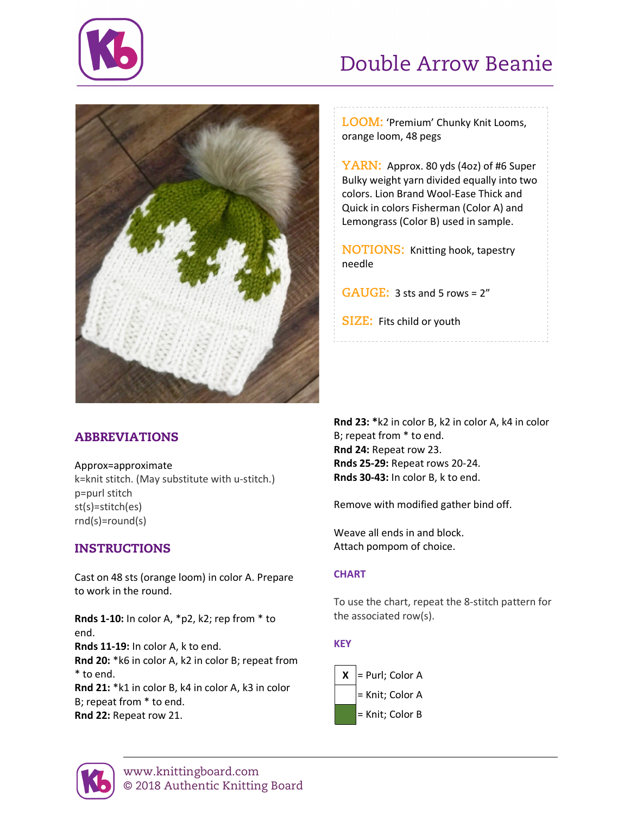

# Double Arrow Beanie



# ABBREVIATIONS

Approx=approximate

k=knit stitch. (May substitute with u-stitch.) p=purl stitch st(s)=stitch(es) rnd(s)=round(s)

# INSTRUCTIONS

Cast on 48 sts (orange loom) in color A. Prepare to work in the round.

**Rnds 1-10:** In color A, \*p2, k2; rep from \* to end. **Rnds 11-19:** In color A, k to end. **Rnd 20:** \*k6 in color A, k2 in color B; repeat from \* to end. **Rnd 21:** \*k1 in color B, k4 in color A, k3 in color B; repeat from \* to end.

**Rnd 22:** Repeat row 21.

**LOOM:** 'Premium' Chunky Knit Looms, orange loom, 48 pegs

**YARN:** Approx. 80 yds (4oz) of #6 Super Bulky weight yarn divided equally into two colors. Lion Brand Wool-Ease Thick and Quick in colors Fisherman (Color A) and Lemongrass (Color B) used in sample.

**NOTIONS:** Knitting hook, tapestry needle

**GAUGE:** 3 sts and 5 rows = 2"

**SIZE:** Fits child or youth

**Rnd 23: \***k2 in color B, k2 in color A, k4 in color B; repeat from \* to end. **Rnd 24:** Repeat row 23. **Rnds 25-29:** Repeat rows 20-24. **Rnds 30-43:** In color B, k to end.

Remove with modified gather bind off.

Weave all ends in and block. Attach pompom of choice.

### **CHART**

To use the chart, repeat the 8-stitch pattern for the associated row(s).

### **KEY**



www.knittingboard.com © 2018 Authentic Knitting Board